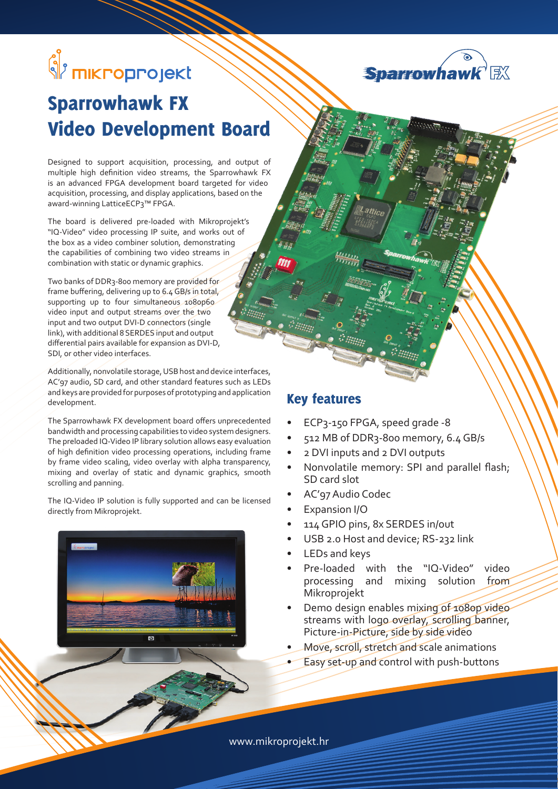# <mark>္</mark>သို<sup>း</sup> mikroprojekt



## Sparrowhawk FX Video Development Board

Designed to support acquisition, processing, and output of multiple high definition video streams, the Sparrowhawk FX is an advanced FPGA development board targeted for video acquisition, processing, and display applications, based on the award-winning LatticeECP3™ FPGA.

The board is delivered pre-loaded with Mikroprojekt's "IQ-Video" video processing IP suite, and works out of the box as a video combiner solution, demonstrating the capabilities of combining two video streams in combination with static or dynamic graphics.

Two banks of DDR3-800 memory are provided for frame buffering, delivering up to 6.4 GB/s in total, supporting up to four simultaneous 1080p60 video input and output streams over the two input and two output DVI-D connectors (single link), with additional 8 SERDES input and output differential pairs available for expansion as DVI-D, SDI, or other video interfaces.

Additionally, nonvolatile storage, USB host and device interfaces, AC'97 audio, SD card, and other standard features such as LEDs and keys are provided for purposes of prototyping and application development.

The Sparrowhawk FX development board offers unprecedented bandwidth and processing capabilities to video system designers. The preloaded IQ-Video IP library solution allows easy evaluation of high definition video processing operations, including frame by frame video scaling, video overlay with alpha transparency, mixing and overlay of static and dynamic graphics, smooth scrolling and panning.

The IQ-Video IP solution is fully supported and can be licensed directly from Mikroprojekt.



#### Key features

- ECP3-150 FPGA, speed grade -8
- 512 MB of DDR3-800 memory, 6.4 GB/s
- 2 DVI inputs and 2 DVI outputs
- Nonvolatile memory: SPI and parallel flash; SD card slot
- AC'97 Audio Codec
- Expansion I/O
- 114 GPIO pins, 8x SERDES in/out
- USB 2.0 Host and device; RS-232 link
- LEDs and keys
- Pre-loaded with the "IQ-Video" video processing and mixing solution from Mikroprojekt
- Demo design enables mixing of 1080p videostreams with logo overlay, scrolling banner, Picture-in-Picture, side by side video
- Move, scroll, stretch and scale animations
- Easy set-up and control with push-buttons

www.mikroprojekt.hr